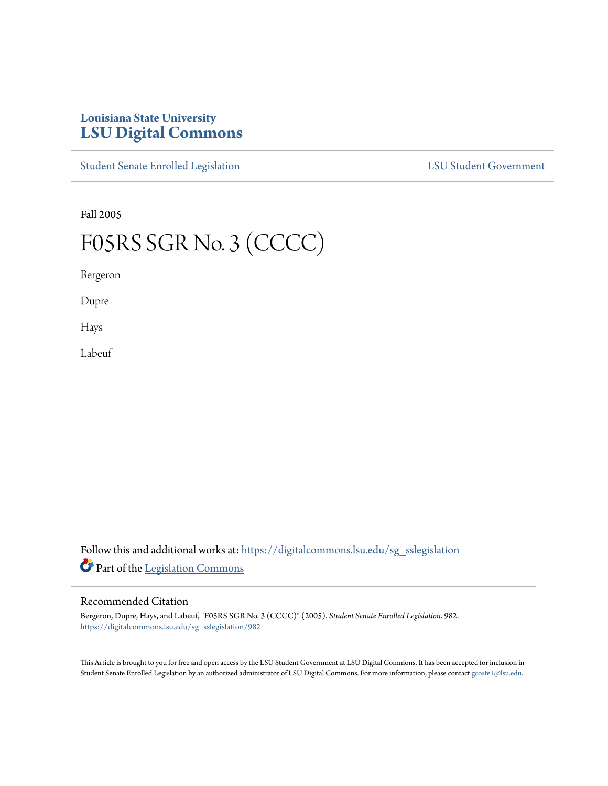## **Louisiana State University [LSU Digital Commons](https://digitalcommons.lsu.edu?utm_source=digitalcommons.lsu.edu%2Fsg_sslegislation%2F982&utm_medium=PDF&utm_campaign=PDFCoverPages)**

[Student Senate Enrolled Legislation](https://digitalcommons.lsu.edu/sg_sslegislation?utm_source=digitalcommons.lsu.edu%2Fsg_sslegislation%2F982&utm_medium=PDF&utm_campaign=PDFCoverPages) [LSU Student Government](https://digitalcommons.lsu.edu/sg?utm_source=digitalcommons.lsu.edu%2Fsg_sslegislation%2F982&utm_medium=PDF&utm_campaign=PDFCoverPages)

Fall 2005

# F05RS SGR No. 3 (CCCC)

Bergeron

Dupre

Hays

Labeuf

Follow this and additional works at: [https://digitalcommons.lsu.edu/sg\\_sslegislation](https://digitalcommons.lsu.edu/sg_sslegislation?utm_source=digitalcommons.lsu.edu%2Fsg_sslegislation%2F982&utm_medium=PDF&utm_campaign=PDFCoverPages) Part of the [Legislation Commons](http://network.bepress.com/hgg/discipline/859?utm_source=digitalcommons.lsu.edu%2Fsg_sslegislation%2F982&utm_medium=PDF&utm_campaign=PDFCoverPages)

#### Recommended Citation

Bergeron, Dupre, Hays, and Labeuf, "F05RS SGR No. 3 (CCCC)" (2005). *Student Senate Enrolled Legislation*. 982. [https://digitalcommons.lsu.edu/sg\\_sslegislation/982](https://digitalcommons.lsu.edu/sg_sslegislation/982?utm_source=digitalcommons.lsu.edu%2Fsg_sslegislation%2F982&utm_medium=PDF&utm_campaign=PDFCoverPages)

This Article is brought to you for free and open access by the LSU Student Government at LSU Digital Commons. It has been accepted for inclusion in Student Senate Enrolled Legislation by an authorized administrator of LSU Digital Commons. For more information, please contact [gcoste1@lsu.edu.](mailto:gcoste1@lsu.edu)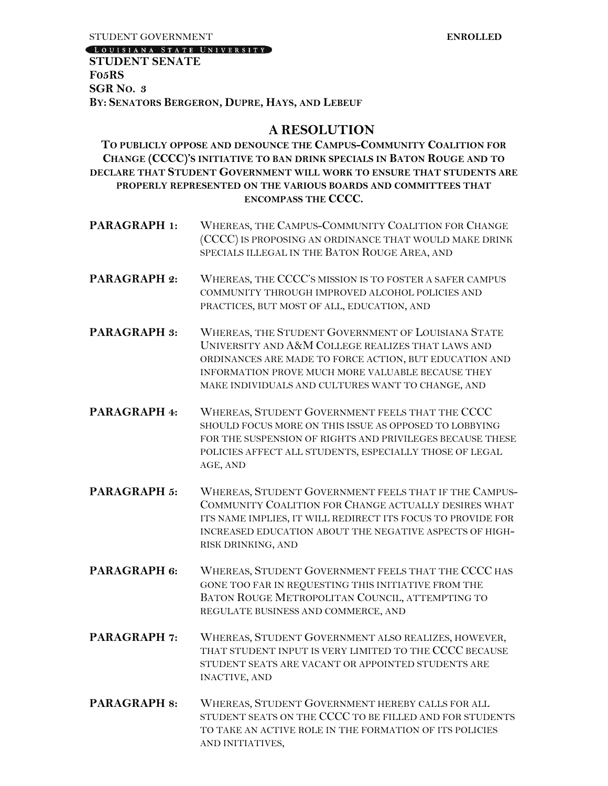[LOUISIANA STATE UNIVERSITY]

#### **STUDENT SENATE F05RS SGR NO. 3 BY: SENATORS BERGERON, DUPRE, HAYS, AND LEBEUF**

### **A RESOLUTION**

**TO PUBLICLY OPPOSE AND DENOUNCE THE CAMPUS-COMMUNITY COALITION FOR CHANGE (CCCC)'S INITIATIVE TO BAN DRINK SPECIALS IN BATON ROUGE AND TO DECLARE THAT STUDENT GOVERNMENT WILL WORK TO ENSURE THAT STUDENTS ARE PROPERLY REPRESENTED ON THE VARIOUS BOARDS AND COMMITTEES THAT ENCOMPASS THE CCCC.**

- **PARAGRAPH 1:** WHEREAS, THE CAMPUS-COMMUNITY COALITION FOR CHANGE (CCCC) IS PROPOSING AN ORDINANCE THAT WOULD MAKE DRINK SPECIALS ILLEGAL IN THE BATON ROUGE AREA, AND
- **PARAGRAPH 2:** WHEREAS, THE CCCC'S MISSION IS TO FOSTER A SAFER CAMPUS COMMUNITY THROUGH IMPROVED ALCOHOL POLICIES AND PRACTICES, BUT MOST OF ALL, EDUCATION, AND
- **PARAGRAPH 3:** WHEREAS, THE STUDENT GOVERNMENT OF LOUISIANA STATE UNIVERSITY AND A&M COLLEGE REALIZES THAT LAWS AND ORDINANCES ARE MADE TO FORCE ACTION, BUT EDUCATION AND INFORMATION PROVE MUCH MORE VALUABLE BECAUSE THEY MAKE INDIVIDUALS AND CULTURES WANT TO CHANGE, AND
- **PARAGRAPH 4:** WHEREAS, STUDENT GOVERNMENT FEELS THAT THE CCCC SHOULD FOCUS MORE ON THIS ISSUE AS OPPOSED TO LOBBYING FOR THE SUSPENSION OF RIGHTS AND PRIVILEGES BECAUSE THESE POLICIES AFFECT ALL STUDENTS, ESPECIALLY THOSE OF LEGAL AGE, AND
- PARAGRAPH 5: WHEREAS, STUDENT GOVERNMENT FEELS THAT IF THE CAMPUS-COMMUNITY COALITION FOR CHANGE ACTUALLY DESIRES WHAT ITS NAME IMPLIES, IT WILL REDIRECT ITS FOCUS TO PROVIDE FOR INCREASED EDUCATION ABOUT THE NEGATIVE ASPECTS OF HIGH-RISK DRINKING, AND
- PARAGRAPH 6: WHEREAS, STUDENT GOVERNMENT FEELS THAT THE CCCC HAS GONE TOO FAR IN REQUESTING THIS INITIATIVE FROM THE BATON ROUGE METROPOLITAN COUNCIL, ATTEMPTING TO REGULATE BUSINESS AND COMMERCE, AND
- PARAGRAPH 7: WHEREAS, STUDENT GOVERNMENT ALSO REALIZES, HOWEVER, THAT STUDENT INPUT IS VERY LIMITED TO THE CCCC BECAUSE STUDENT SEATS ARE VACANT OR APPOINTED STUDENTS ARE INACTIVE, AND
- **PARAGRAPH 8:** WHEREAS, STUDENT GOVERNMENT HEREBY CALLS FOR ALL STUDENT SEATS ON THE CCCC TO BE FILLED AND FOR STUDENTS TO TAKE AN ACTIVE ROLE IN THE FORMATION OF ITS POLICIES AND INITIATIVES,